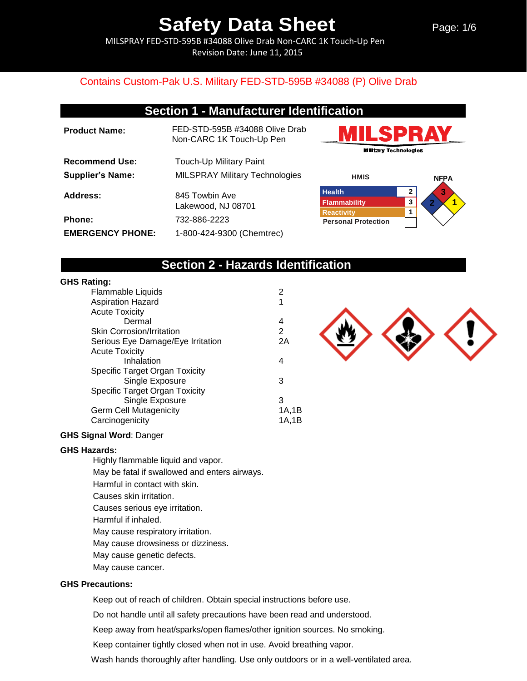Page: 1/6

MILSPRAY FED-STD-595B #34088 Olive Drab Non-CARC 1K Touch-Up Pen Revision Date: June 11, 2015

#### Contains Custom-Pak U.S. Military FED-STD-595B #34088 (P) Olive Drab

### **Section 1 - Manufacturer Identification**

**Product Name:** FED-STD-595B #34088 Olive Drab Non-CARC 1K Touch-Up Pen **Recommend Use:** Touch-Up Military Paint **Supplier's Name:** MILSPRAY Military Technologies Address: 845 Towbin Ave Lakewood, NJ 08701 **Phone:** 732-886-2223 **EMERGENCY PHONE:** 1-800-424-9300 (Chemtrec)





### **Section 2 - Hazards Identification**

#### **GHS Rating:**

| Flammable Liquids                 | 2     |
|-----------------------------------|-------|
| <b>Aspiration Hazard</b>          | 1     |
| <b>Acute Toxicity</b>             |       |
| Dermal                            | 4     |
| <b>Skin Corrosion/Irritation</b>  | 2     |
| Serious Eye Damage/Eye Irritation | 2A    |
| <b>Acute Toxicity</b>             |       |
| Inhalation                        | 4     |
| Specific Target Organ Toxicity    |       |
| Single Exposure                   | 3     |
| Specific Target Organ Toxicity    |       |
| Single Exposure                   | 3     |
| <b>Germ Cell Mutagenicity</b>     | 1A,1B |
| Carcinogenicity                   | 1A.1B |
|                                   |       |

#### **GHS Signal Word**: Danger

#### **GHS Hazards:**

Highly flammable liquid and vapor. May be fatal if swallowed and enters airways. Harmful in contact with skin. Causes skin irritation. Causes serious eye irritation. Harmful if inhaled. May cause respiratory irritation. May cause drowsiness or dizziness. May cause genetic defects.

May cause cancer.

#### **GHS Precautions:**

Keep out of reach of children. Obtain special instructions before use.

Do not handle until all safety precautions have been read and understood.

Keep away from heat/sparks/open flames/other ignition sources. No smoking.

Keep container tightly closed when not in use. Avoid breathing vapor.

Wash hands thoroughly after handling. Use only outdoors or in a well-ventilated area.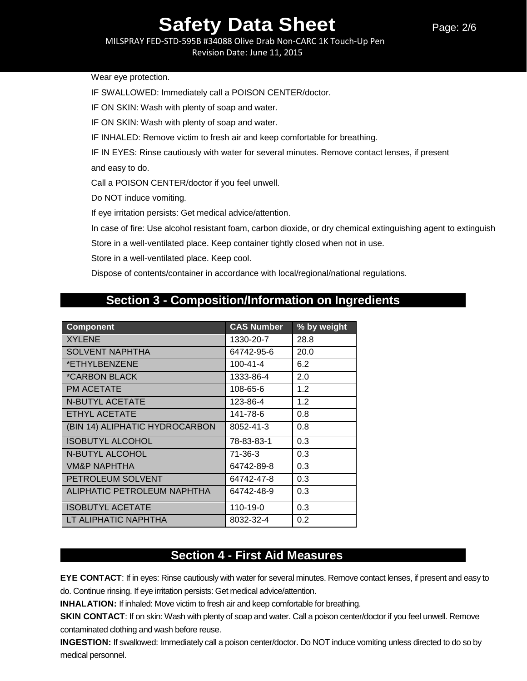MILSPRAY FED-STD-595B #34088 Olive Drab Non-CARC 1K Touch-Up Pen

Revision Date: June 11, 2015

Wear eye protection.

IF SWALLOWED: Immediately call a POISON CENTER/doctor.

IF ON SKIN: Wash with plenty of soap and water.

IF ON SKIN: Wash with plenty of soap and water.

IF INHALED: Remove victim to fresh air and keep comfortable for breathing.

IF IN EYES: Rinse cautiously with water for several minutes. Remove contact lenses, if present and easy to do.

Call a POISON CENTER/doctor if you feel unwell.

Do NOT induce vomiting.

If eye irritation persists: Get medical advice/attention.

In case of fire: Use alcohol resistant foam, carbon dioxide, or dry chemical extinguishing agent to extinguish

Store in a well-ventilated place. Keep container tightly closed when not in use.

Store in a well-ventilated place. Keep cool.

Dispose of contents/container in accordance with local/regional/national regulations.

## **Section 3 - Composition/Information on Ingredients**

| <b>Component</b>               | <b>CAS Number</b> | % by weight |
|--------------------------------|-------------------|-------------|
| <b>XYLENE</b>                  | 1330-20-7         | 28.8        |
| <b>SOLVENT NAPHTHA</b>         | 64742-95-6        | 20.0        |
| *ETHYLBENZENE                  | $100 - 41 - 4$    | 6.2         |
| *CARBON BLACK                  | 1333-86-4         | 2.0         |
| <b>PM ACETATE</b>              | 108-65-6          | 1.2         |
| <b>N-BUTYL ACETATE</b>         | 123-86-4          | 1.2         |
| <b>ETHYL ACETATE</b>           | 141-78-6          | 0.8         |
| (BIN 14) ALIPHATIC HYDROCARBON | 8052-41-3         | 0.8         |
| <b>ISOBUTYL ALCOHOL</b>        | 78-83-83-1        | 0.3         |
| <b>N-BUTYL ALCOHOL</b>         | 71-36-3           | 0.3         |
| <b>VM&amp;P NAPHTHA</b>        | 64742-89-8        | 0.3         |
| PETROLEUM SOLVENT              | 64742-47-8        | 0.3         |
| ALIPHATIC PETROLEUM NAPHTHA    | 64742-48-9        | 0.3         |
| <b>ISOBUTYL ACETATE</b>        | 110-19-0          | 0.3         |
| LT ALIPHATIC NAPHTHA           | 8032-32-4         | 0.2         |

## **Section 4 - First Aid Measures**

**EYE CONTACT**: If in eyes: Rinse cautiously with water for several minutes. Remove contact lenses, if present and easy to do. Continue rinsing. If eye irritation persists: Get medical advice/attention.

**INHALATION:** If inhaled: Move victim to fresh air and keep comfortable for breathing.

**SKIN CONTACT**: If on skin: Wash with plenty of soap and water. Call a poison center/doctor if you feel unwell. Remove contaminated clothing and wash before reuse.

**INGESTION:** If swallowed: Immediately call a poison center/doctor. Do NOT induce vomiting unless directed to do so by medical personnel.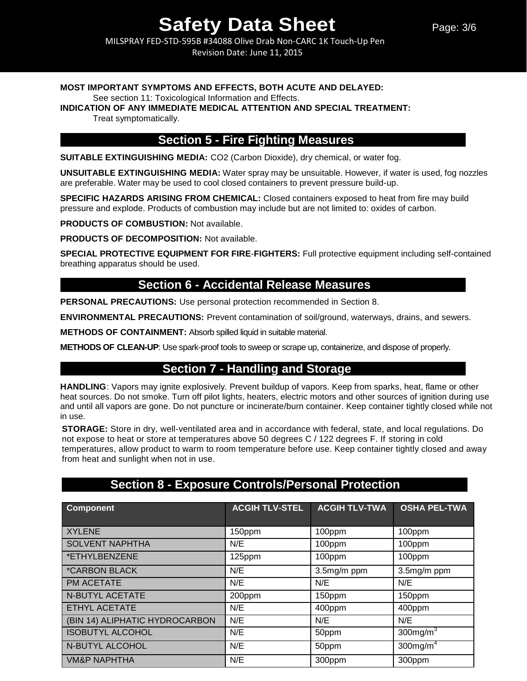MILSPRAY FED-STD-595B #34088 Olive Drab Non-CARC 1K Touch-Up Pen Revision Date: June 11, 2015

#### **MOST IMPORTANT SYMPTOMS AND EFFECTS, BOTH ACUTE AND DELAYED:**

See section 11: Toxicological Information and Effects.

**INDICATION OF ANY IMMEDIATE MEDICAL ATTENTION AND SPECIAL TREATMENT:**

Treat symptomatically.

### **Section 5 - Fire Fighting Measures**

**SUITABLE EXTINGUISHING MEDIA:** CO2 (Carbon Dioxide), dry chemical, or water fog.

**UNSUITABLE EXTINGUISHING MEDIA:** Water spray may be unsuitable. However, if water is used, fog nozzles are preferable. Water may be used to cool closed containers to prevent pressure build-up.

**SPECIFIC HAZARDS ARISING FROM CHEMICAL:** Closed containers exposed to heat from fire may build pressure and explode. Products of combustion may include but are not limited to: oxides of carbon.

**PRODUCTS OF COMBUSTION:** Not available.

**PRODUCTS OF DECOMPOSITION:** Not available.

**SPECIAL PROTECTIVE EQUIPMENT FOR FIRE**-**FIGHTERS:** Full protective equipment including self-contained breathing apparatus should be used.

### **Section 6 - Accidental Release Measures**

**PERSONAL PRECAUTIONS:** Use personal protection recommended in Section 8.

**ENVIRONMENTAL PRECAUTIONS:** Prevent contamination of soil/ground, waterways, drains, and sewers.

**METHODS OF CONTAINMENT:** Absorb spilled liquid in suitable material.

**METHODS OF CLEAN-UP**: Use spark-proof tools to sweep or scrape up, containerize, and dispose of properly.

## **Section 7 - Handling and Storage**

**HANDLING**: Vapors may ignite explosively. Prevent buildup of vapors. Keep from sparks, heat, flame or other heat sources. Do not smoke. Turn off pilot lights, heaters, electric motors and other sources of ignition during use and until all vapors are gone. Do not puncture or incinerate/burn container. Keep container tightly closed while not in use.

**STORAGE:** Store in dry, well-ventilated area and in accordance with federal, state, and local regulations. Do not expose to heat or store at temperatures above 50 degrees C / 122 degrees F. If storing in cold temperatures, allow product to warm to room temperature before use. Keep container tightly closed and away from heat and sunlight when not in use.

## **Section 8 - Exposure Controls/Personal Protection**

| <b>Component</b>               | <b>ACGIH TLV-STEL</b> | <b>ACGIH TLV-TWA</b> | <b>OSHA PEL-TWA</b>     |
|--------------------------------|-----------------------|----------------------|-------------------------|
| <b>XYLENE</b>                  | 150ppm                | 100ppm               | 100ppm                  |
| <b>SOLVENT NAPHTHA</b>         | N/E                   | 100ppm               | 100ppm                  |
| *ETHYLBENZENE                  | 125ppm                | 100ppm               | 100ppm                  |
| <i><b>*CARBON BLACK</b></i>    | N/E                   | 3.5mg/m ppm          | 3.5mg/m ppm             |
| PM ACETATE                     | N/E                   | N/E                  | N/E                     |
| <b>N-BUTYL ACETATE</b>         | 200ppm                | 150ppm               | 150ppm                  |
| ETHYL ACETATE                  | N/E                   | 400ppm               | 400ppm                  |
| (BIN 14) ALIPHATIC HYDROCARBON | N/E                   | N/E                  | N/E                     |
| <b>ISOBUTYL ALCOHOL</b>        | N/E                   | 50ppm                | $300$ mg/m <sup>3</sup> |
| N-BUTYL ALCOHOL                | N/E                   | 50ppm                | $300$ mg/m <sup>4</sup> |
| <b>VM&amp;P NAPHTHA</b>        | N/E                   | 300ppm               | 300ppm                  |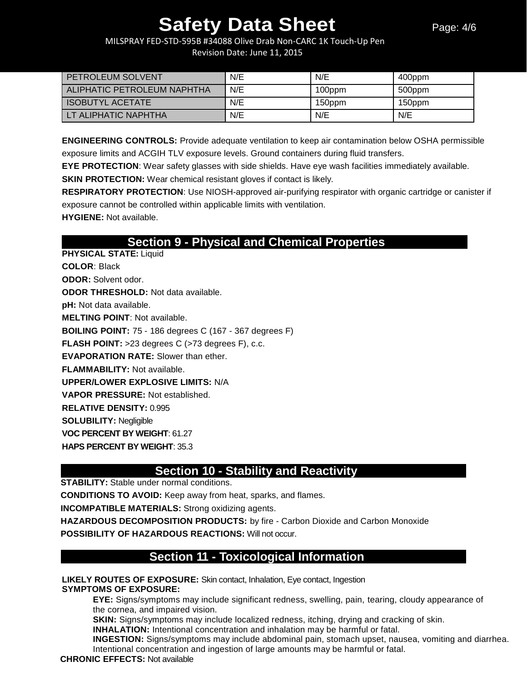MILSPRAY FED-STD-595B #34088 Olive Drab Non-CARC 1K Touch-Up Pen Revision Date: June 11, 2015

| <b>PETROLEUM SOLVENT</b>    | N/E | N/E    | 400ppm |
|-----------------------------|-----|--------|--------|
| ALIPHATIC PETROLEUM NAPHTHA | N/E | 100ppm | 500ppm |
| <b>ISOBUTYL ACETATE</b>     | N/E | 150ppm | 150ppm |
| LT ALIPHATIC NAPHTHA        | N/E | N/E    | N/E    |

**ENGINEERING CONTROLS:** Provide adequate ventilation to keep air contamination below OSHA permissible exposure limits and ACGIH TLV exposure levels. Ground containers during fluid transfers.

**EYE PROTECTION**: Wear safety glasses with side shields. Have eye wash facilities immediately available.

**SKIN PROTECTION:** Wear chemical resistant gloves if contact is likely.

**RESPIRATORY PROTECTION**: Use NIOSH-approved air-purifying respirator with organic cartridge or canister if exposure cannot be controlled within applicable limits with ventilation. **HYGIENE:** Not available.

**Section 9 - Physical and Chemical Properties** 

**PHYSICAL STATE:** Liquid **COLOR**: Black **ODOR:** Solvent odor. **ODOR THRESHOLD:** Not data available. **pH:** Not data available. **MELTING POINT**: Not available. **BOILING POINT:** 75 - 186 degrees C (167 - 367 degrees F) **FLASH POINT:** >23 degrees C (>73 degrees F), c.c. **EVAPORATION RATE:** Slower than ether. **FLAMMABILITY:** Not available. **UPPER/LOWER EXPLOSIVE LIMITS:** N/A **VAPOR PRESSURE:** Not established. **RELATIVE DENSITY:** 0.995 **SOLUBILITY:** Negligible **VOC PERCENT BY WEIGHT**: 61.27 **HAPS PERCENT BY WEIGHT**: 35.3

## **Section 10 - Stability and Reactivity**

**STABILITY:** Stable under normal conditions.

**CONDITIONS TO AVOID:** Keep away from heat, sparks, and flames.

**INCOMPATIBLE MATERIALS:** Strong oxidizing agents.

**HAZARDOUS DECOMPOSITION PRODUCTS:** by fire - Carbon Dioxide and Carbon Monoxide **POSSIBILITY OF HAZARDOUS REACTIONS:** Will not occur.

## **Section 11 - Toxicological Information**

**LIKELY ROUTES OF EXPOSURE:** Skin contact, Inhalation, Eye contact, Ingestion **SYMPTOMS OF EXPOSURE:**

**EYE:** Signs/symptoms may include significant redness, swelling, pain, tearing, cloudy appearance of the cornea, and impaired vision.

**SKIN:** Signs/symptoms may include localized redness, itching, drying and cracking of skin.

**INHALATION:** Intentional concentration and inhalation may be harmful or fatal.

**INGESTION:** Signs/symptoms may include abdominal pain, stomach upset, nausea, vomiting and diarrhea. Intentional concentration and ingestion of large amounts may be harmful or fatal.

#### **CHRONIC EFFECTS:** Not available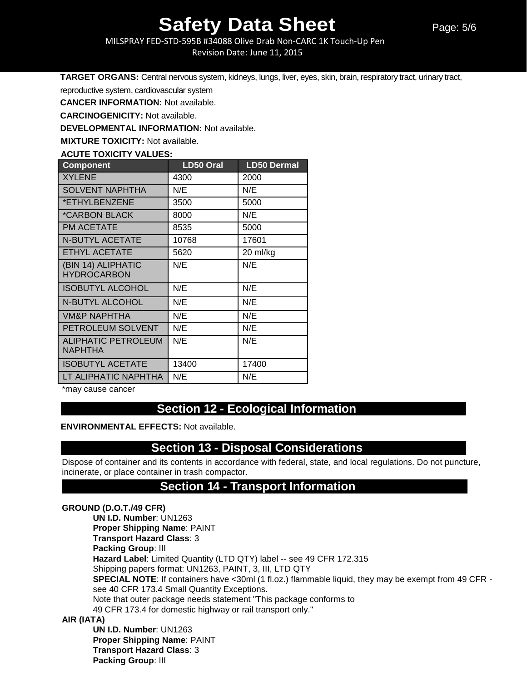MILSPRAY FED-STD-595B #34088 Olive Drab Non-CARC 1K Touch-Up Pen

Revision Date: June 11, 2015

**TARGET ORGANS:** Central nervous system, kidneys, lungs, liver, eyes, skin, brain, respiratory tract, urinary tract,

reproductive system, cardiovascular system

**CANCER INFORMATION:** Not available.

**CARCINOGENICITY:** Not available.

**DEVELOPMENTAL INFORMATION:** Not available.

**MIXTURE TOXICITY:** Not available.

**ACUTE TOXICITY VALUES:** 

| <b>Component</b>           | <b>LD50 Oral</b> | <b>LD50 Dermal</b> |
|----------------------------|------------------|--------------------|
| <b>XYLENE</b>              | 4300             | 2000               |
| <b>SOLVENT NAPHTHA</b>     | N/E              | N/E                |
| *ETHYLBENZENE              | 3500             | 5000               |
| *CARBON BLACK              | 8000             | N/E                |
| <b>PM ACETATE</b>          | 8535             | 5000               |
| <b>N-BUTYL ACETATE</b>     | 10768            | 17601              |
| <b>ETHYL ACETATE</b>       | 5620             | 20 ml/kg           |
| (BIN 14) ALIPHATIC         | N/E              | N/E                |
| <b>HYDROCARBON</b>         |                  |                    |
| <b>ISOBUTYL ALCOHOL</b>    | N/E              | N/E                |
| <b>N-BUTYL ALCOHOL</b>     | N/E              | N/E                |
| <b>VM&amp;P NAPHTHA</b>    | N/E              | N/E                |
| PETROLEUM SOLVENT          | N/E              | N/E                |
| <b>ALIPHATIC PETROLEUM</b> | N/E              | N/E                |
| <b>NAPHTHA</b>             |                  |                    |
| <b>ISOBUTYL ACETATE</b>    | 13400            | 17400              |
| LT ALIPHATIC NAPHTHA       | N/E              | N/E                |

\*may cause cancer

## **Section 12 - Ecological Information**

**ENVIRONMENTAL EFFECTS:** Not available.

### **Section 13 - Disposal Considerations**

Dispose of container and its contents in accordance with federal, state, and local regulations. Do not puncture, incinerate, or place container in trash compactor.

### **Section 14 - Transport Information**

#### **GROUND (D.O.T./49 CFR)**

**UN I.D. Number**: UN1263 **Proper Shipping Name**: PAINT **Transport Hazard Class**: 3 **Packing Group**: III **Hazard Label**: Limited Quantity (LTD QTY) label -- see 49 CFR 172.315 Shipping papers format: UN1263, PAINT, 3, III, LTD QTY **SPECIAL NOTE:** If containers have <30ml (1 fl.oz.) flammable liquid, they may be exempt from 49 CFR see 40 CFR 173.4 Small Quantity Exceptions. Note that outer package needs statement "This package conforms to 49 CFR 173.4 for domestic highway or rail transport only."

#### **AIR (IATA)**

**UN I.D. Number**: UN1263 **Proper Shipping Name**: PAINT **Transport Hazard Class**: 3 **Packing Group**: III